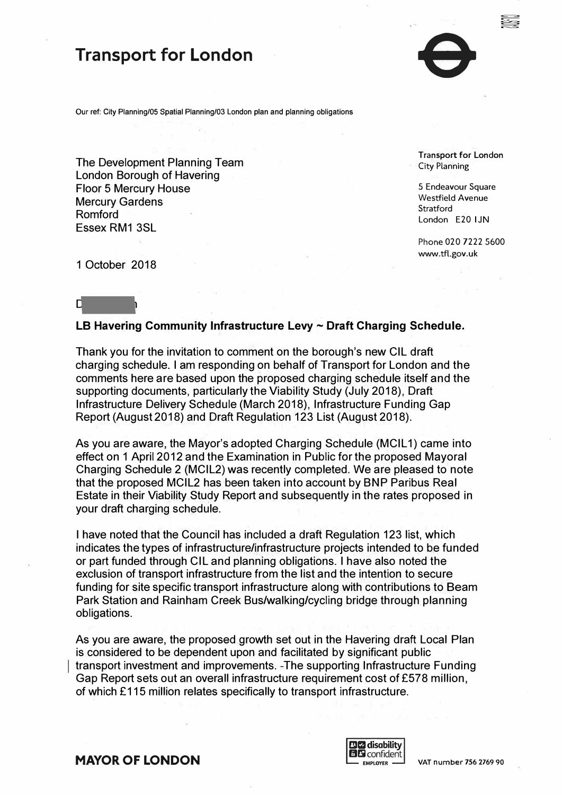

to<br>So

Our ref: City Planning/05 Spatial Planning/03 London plan and planning obligations

The Development Planning Team City Planning Team City Planning London Borough of Havering Floor 5 Mercury House 5 Endeavour Square<br>Moreury Gardons Mercury Gardens and the strategies of the strategies of the Mestfield Avenue Mestfield Avenue Stratford Stratford<br>
Romford London E20 I JN Essex RM1 3SL

Phone 020 7222 5600 <www.tfl.gov.uk>

1 October 2018

## Dear Martyn

## **LB Havering Community Infrastructure Levy ~ Draft Charging Schedule.**

Thank you for the invitation to comment on the borough's new GIL draft charging schedule. I am responding on behalf of Transport for London and the comments here are based upon the proposed charging schedule itself and the supporting documents, particularly the Viability Study (July 2018), Draft Infrastructure Delivery Schedule (March 2018), Infrastructure Funding Gap Report (August 2018) and Draft Regulation 123 List (August 2018).

As you are aware, the Mayor's adopted Charging Schedule (MCIL 1) came into effect on 1 April 2012 and the Examination in Public for the proposed Mayoral Charging Schedule 2 (MCIL2) was recently completed. We are pleased to note that the proposed MCIL2 has been taken into account by BNP Paribus Real Estate in their Viability Study Report and subsequently in the rates proposed in your draft charging schedule.

I have noted that the Council has included a draft Regulation 123 list, which indicates the types of infrastructure/infrastructure projects intended to be funded or part funded through GIL and planning obligations. I have also noted the exclusion of transport infrastructure from the list and the intention to secure funding for site specific transport infrastructure along with contributions to Beam Park Station and Rainham Creek Bus/walking/cycling bridge through planning obligations.

As you are aware, the proposed growth set out in the Havering draft Local Plan is considered to be dependent upon and facilitated by significant public transport investment and improvements. -The supporting Infrastructure Funding Gap Report sets out an overall infrastructure requirement cost of £578 million, of which £115 million relates specifically to transport infrastructure.



**MAYOR OF LONDON CONOM PERIODIC CONDON PERIODIC CONDON PERIODIC CONDON**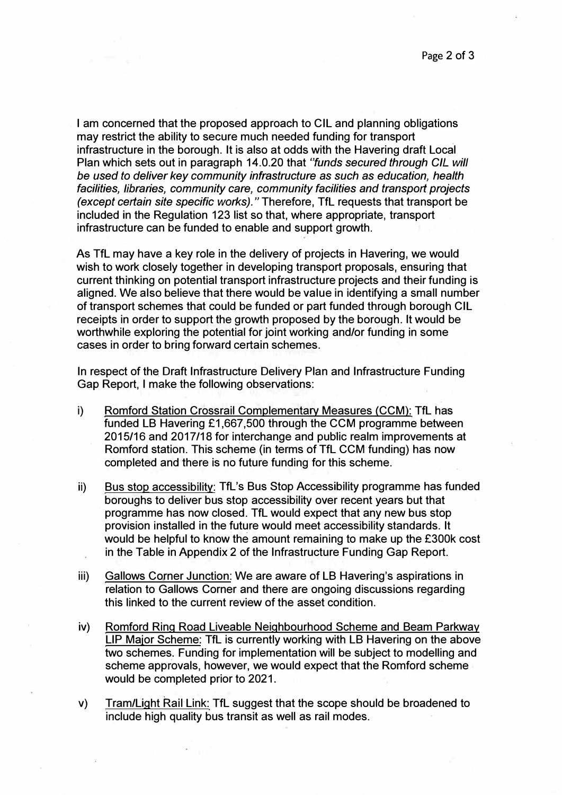I am concerned that the proposed approach to CIL and planning obligations may restrict the ability to secure much needed funding for transport infrastructure in the borough. It is also at odds with the Havering draft Local Plan which sets out in paragraph 14.0.20 that *"funds secured through GIL will be used to deliver key community infrastructure as such as education, health facilities, libraries, community care, community facilities and transport projects (except certain site specific works)."* Therefore, TfL requests that transport be included in the Regulation 123 list so that, where appropriate, transport infrastructure can be funded to enable and support growth.

As TfL may have a key role in the delivery of projects in Havering, we would wish to work closely together in developing transport proposals, ensuring that current thinking on potential transport infrastructure projects and their funding is aligned. We also believe that there would be value in identifying a small number of transport schemes that could be funded or part funded through borough CIL receipts in order to support the growth proposed by the borough. It would be worthwhile exploring the potential for joint working and/or funding in some cases in order to bring forward certain schemes.

In respect of the Draft Infrastructure Delivery Plan and Infrastructure Funding Gap Report, I make the following observations:

- i) Romford Station Crossrail Complementary Measures (CCM): TfL has funded LB Havering £1,667,500 through the CCM programme between 2015/16 and 2017/18 for interchange and public realm improvements at Romford station. This scheme (in terms of TfL CCM funding) has now completed and there is no future funding for this scheme.
- ii) Bus stop accessibility: TfL's Bus Stop Accessibility programme has funded boroughs to deliver bus stop accessibility over recent years but that programme has now closed. TfL would expect that any new bus stop provision installed in the future would meet accessibility standards. It would be helpful to know the amount remaining to make up the £300k cost in the Table in Appendix 2 of the Infrastructure Funding Gap Report. ù.
- iii) Gallows Corner Junction: We are aware of LB Havering's aspirations. in relation to Gallows Corner and there are ongoing discussions regarding this linked to the current review of the asset condition.
- iv) Romford Ring Road Liveable Neighbourhood Scheme and Beam Parkway LIP Major Scheme: TfL is currently working with LB Havering on the above two schemes. Funding for implementation will be subject to modelling and scheme approvals, however, we would expect that the Romford scheme would be completed prior to 2021.
- v) Tram/Light Rail Link: TfL suggest that the scope should be broadened to include high quality bus transit as well as rail modes.